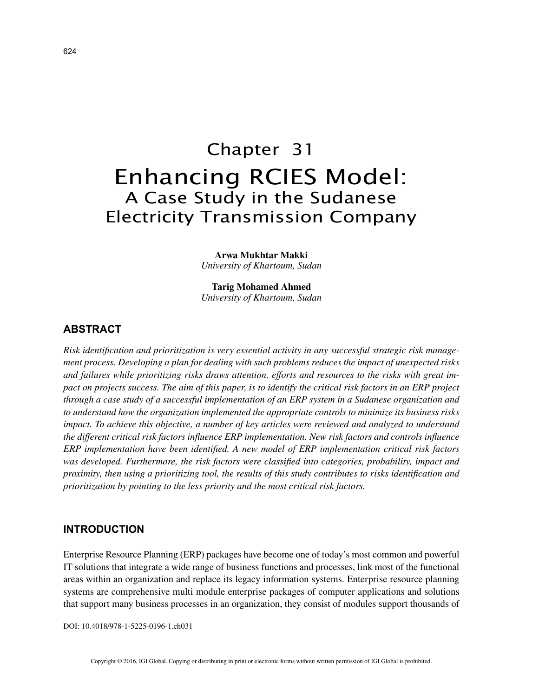# Chapter 31 Enhancing RCIES Model: A Case Study in the Sudanese Electricity Transmission Company

**Arwa Mukhtar Makki** *University of Khartoum, Sudan*

**Tarig Mohamed Ahmed** *University of Khartoum, Sudan*

# **ABSTRACT**

*Risk identification and prioritization is very essential activity in any successful strategic risk management process. Developing a plan for dealing with such problems reduces the impact of unexpected risks and failures while prioritizing risks draws attention, efforts and resources to the risks with great impact on projects success. The aim of this paper, is to identify the critical risk factors in an ERP project through a case study of a successful implementation of an ERP system in a Sudanese organization and to understand how the organization implemented the appropriate controls to minimize its business risks impact. To achieve this objective, a number of key articles were reviewed and analyzed to understand the different critical risk factors influence ERP implementation. New risk factors and controls influence ERP implementation have been identified. A new model of ERP implementation critical risk factors was developed. Furthermore, the risk factors were classified into categories, probability, impact and proximity, then using a prioritizing tool, the results of this study contributes to risks identification and prioritization by pointing to the less priority and the most critical risk factors.*

#### **INTRODUCTION**

Enterprise Resource Planning (ERP) packages have become one of today's most common and powerful IT solutions that integrate a wide range of business functions and processes, link most of the functional areas within an organization and replace its legacy information systems. Enterprise resource planning systems are comprehensive multi module enterprise packages of computer applications and solutions that support many business processes in an organization, they consist of modules support thousands of

DOI: 10.4018/978-1-5225-0196-1.ch031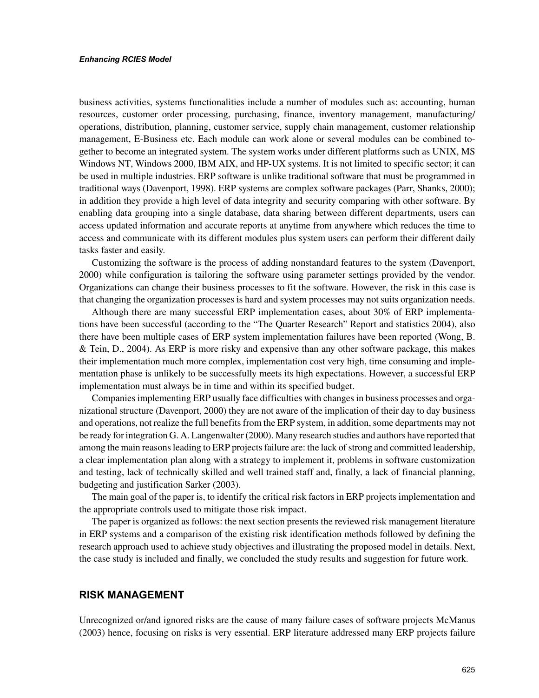#### *Enhancing RCIES Model*

business activities, systems functionalities include a number of modules such as: accounting, human resources, customer order processing, purchasing, finance, inventory management, manufacturing/ operations, distribution, planning, customer service, supply chain management, customer relationship management, E-Business etc. Each module can work alone or several modules can be combined together to become an integrated system. The system works under different platforms such as UNIX, MS Windows NT, Windows 2000, IBM AIX, and HP-UX systems. It is not limited to specific sector; it can be used in multiple industries. ERP software is unlike traditional software that must be programmed in traditional ways (Davenport, 1998). ERP systems are complex software packages (Parr, Shanks, 2000); in addition they provide a high level of data integrity and security comparing with other software. By enabling data grouping into a single database, data sharing between different departments, users can access updated information and accurate reports at anytime from anywhere which reduces the time to access and communicate with its different modules plus system users can perform their different daily tasks faster and easily.

Customizing the software is the process of adding nonstandard features to the system (Davenport, 2000) while configuration is tailoring the software using parameter settings provided by the vendor. Organizations can change their business processes to fit the software. However, the risk in this case is that changing the organization processes is hard and system processes may not suits organization needs.

Although there are many successful ERP implementation cases, about 30% of ERP implementations have been successful (according to the "The Quarter Research" Report and statistics 2004), also there have been multiple cases of ERP system implementation failures have been reported (Wong, B. & Tein, D., 2004). As ERP is more risky and expensive than any other software package, this makes their implementation much more complex, implementation cost very high, time consuming and implementation phase is unlikely to be successfully meets its high expectations. However, a successful ERP implementation must always be in time and within its specified budget.

Companies implementing ERP usually face difficulties with changes in business processes and organizational structure (Davenport, 2000) they are not aware of the implication of their day to day business and operations, not realize the full benefits from the ERP system, in addition, some departments may not be ready for integration G. A. Langenwalter (2000). Many research studies and authors have reported that among the main reasons leading to ERP projects failure are: the lack of strong and committed leadership, a clear implementation plan along with a strategy to implement it, problems in software customization and testing, lack of technically skilled and well trained staff and, finally, a lack of financial planning, budgeting and justification Sarker (2003).

The main goal of the paper is, to identify the critical risk factors in ERP projects implementation and the appropriate controls used to mitigate those risk impact.

The paper is organized as follows: the next section presents the reviewed risk management literature in ERP systems and a comparison of the existing risk identification methods followed by defining the research approach used to achieve study objectives and illustrating the proposed model in details. Next, the case study is included and finally, we concluded the study results and suggestion for future work.

## **RISK MANAGEMENT**

Unrecognized or/and ignored risks are the cause of many failure cases of software projects McManus (2003) hence, focusing on risks is very essential. ERP literature addressed many ERP projects failure